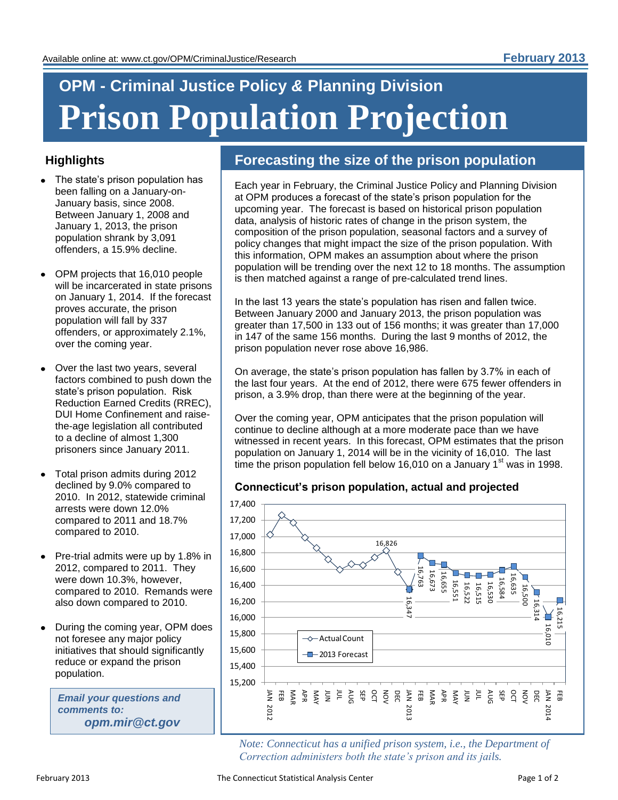# **OPM - Criminal Justice Policy** *&* **Planning Division Prison Population Projection**

### **Highlights**

- The state's prison population has been falling on a January-on-January basis, since 2008. Between January 1, 2008 and January 1, 2013, the prison population shrank by 3,091 offenders, a 15.9% decline.
- OPM projects that 16,010 people will be incarcerated in state prisons on January 1, 2014. If the forecast proves accurate, the prison population will fall by 337 offenders, or approximately 2.1%, over the coming year.
- Over the last two years, several factors combined to push down the state's prison population. Risk Reduction Earned Credits (RREC), DUI Home Confinement and raisethe-age legislation all contributed to a decline of almost 1,300 prisoners since January 2011.
- Total prison admits during 2012 declined by 9.0% compared to 2010. In 2012, statewide criminal arrests were down 12.0% compared to 2011 and 18.7% compared to 2010.
- Pre-trial admits were up by 1.8% in 2012, compared to 2011. They were down 10.3%, however, compared to 2010. Remands were also down compared to 2010.
- During the coming year, OPM does not foresee any major policy initiatives that should significantly reduce or expand the prison population.

*Email your questions and comments to: opm.mir@ct.gov*

## **Forecasting the size of the prison population**

Each year in February, the Criminal Justice Policy and Planning Division at OPM produces a forecast of the state's prison population for the upcoming year. The forecast is based on historical prison population data, analysis of historic rates of change in the prison system, the composition of the prison population, seasonal factors and a survey of policy changes that might impact the size of the prison population. With this information, OPM makes an assumption about where the prison population will be trending over the next 12 to 18 months. The assumption is then matched against a range of pre-calculated trend lines.

In the last 13 years the state's population has risen and fallen twice. Between January 2000 and January 2013, the prison population was greater than 17,500 in 133 out of 156 months; it was greater than 17,000 in 147 of the same 156 months. During the last 9 months of 2012, the prison population never rose above 16,986.

On average, the state's prison population has fallen by 3.7% in each of the last four years. At the end of 2012, there were 675 fewer offenders in prison, a 3.9% drop, than there were at the beginning of the year.

Over the coming year, OPM anticipates that the prison population will continue to decline although at a more moderate pace than we have witnessed in recent years. In this forecast, OPM estimates that the prison population on January 1, 2014 will be in the vicinity of 16,010. The last time the prison population fell below 16,010 on a January 1 $\mathrm{^{st}}$  was in 1998.

### **Connecticut's prison population, actual and projected**



*Note: Connecticut has a unified prison system, i.e., the Department of Correction administers both the state's prison and its jails.*